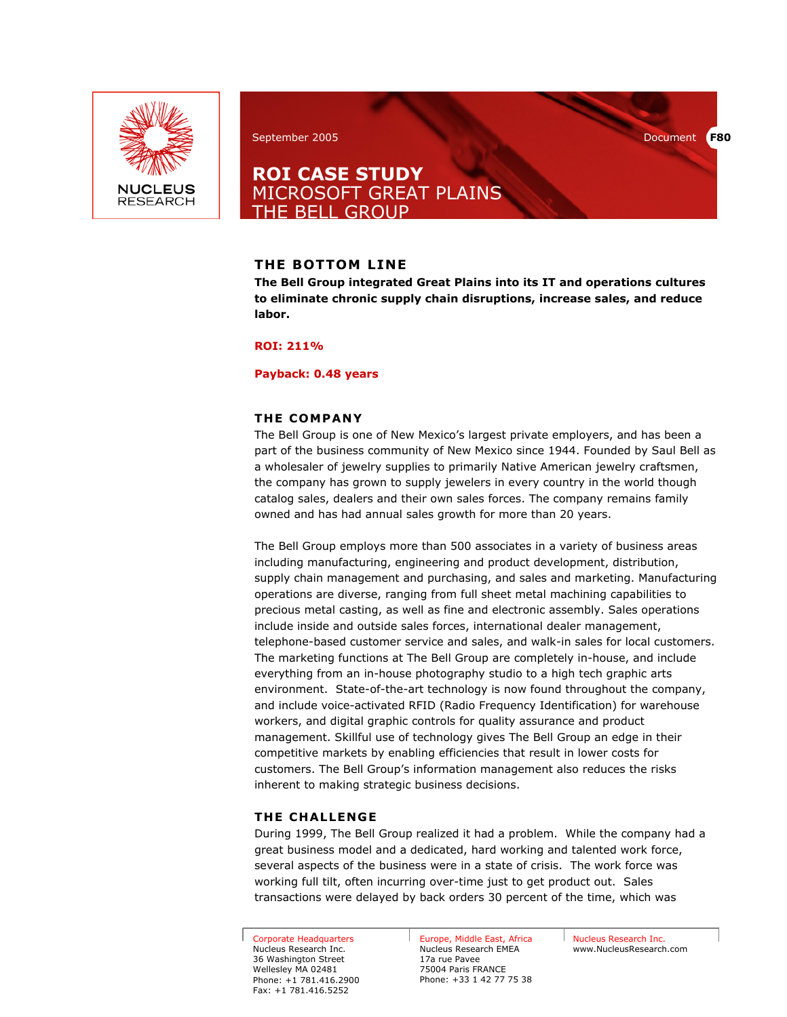

## September 2005 Document **F80**

# **ROI CASE STUDY**  MICROSOFT GREAT PLAINS THE BELL GROUP

## **THE BOTTOM LINE**

**The Bell Group integrated Great Plains into its IT and operations cultures to eliminate chronic supply chain disruptions, increase sales, and reduce labor.** 

## **ROI: 211%**

#### **Payback: 0.48 years**

## **THE COMPANY**

The Bell Group is one of New Mexico's largest private employers, and has been a part of the business community of New Mexico since 1944. Founded by Saul Bell as a wholesaler of jewelry supplies to primarily Native American jewelry craftsmen, the company has grown to supply jewelers in every country in the world though catalog sales, dealers and their own sales forces. The company remains family owned and has had annual sales growth for more than 20 years.

The Bell Group employs more than 500 associates in a variety of business areas including manufacturing, engineering and product development, distribution, supply chain management and purchasing, and sales and marketing. Manufacturing operations are diverse, ranging from full sheet metal machining capabilities to precious metal casting, as well as fine and electronic assembly. Sales operations include inside and outside sales forces, international dealer management, telephone-based customer service and sales, and walk-in sales for local customers. The marketing functions at The Bell Group are completely in-house, and include everything from an in-house photography studio to a high tech graphic arts environment. State-of-the-art technology is now found throughout the company, and include voice-activated RFID (Radio Frequency Identification) for warehouse workers, and digital graphic controls for quality assurance and product management. Skillful use of technology gives The Bell Group an edge in their competitive markets by enabling efficiencies that result in lower costs for customers. The Bell Group's information management also reduces the risks inherent to making strategic business decisions.

## **THE CHALLENGE**

During 1999, The Bell Group realized it had a problem. While the company had a great business model and a dedicated, hard working and talented work force, several aspects of the business were in a state of crisis. The work force was working full tilt, often incurring over-time just to get product out. Sales transactions were delayed by back orders 30 percent of the time, which was

Corporate Headquarters Nucleus Research Inc. 36 Washington Street Wellesley MA 02481 Phone: +1 781.416.2900 Fax: +1 781.416.5252

Europe, Middle East, Africa Nucleus Research EMEA 17a rue Pavee 75004 Paris FRANCE Phone: +33 1 42 77 75 38

Nucleus Research Inc. www.NucleusResearch.com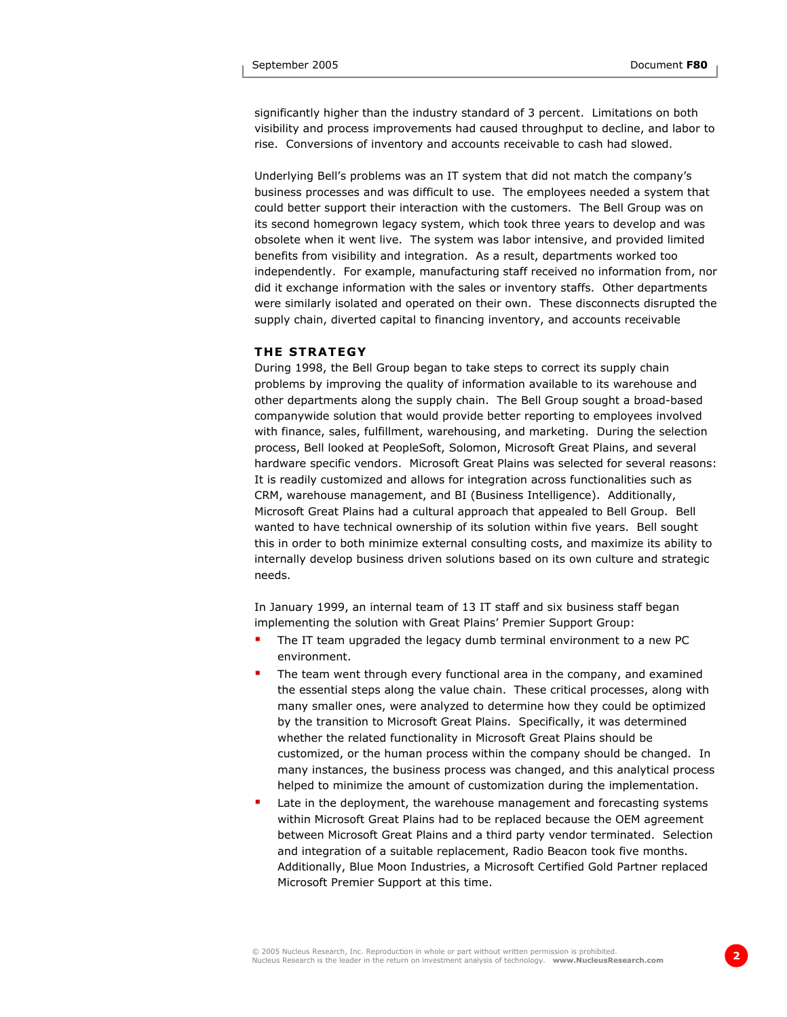significantly higher than the industry standard of 3 percent. Limitations on both visibility and process improvements had caused throughput to decline, and labor to rise. Conversions of inventory and accounts receivable to cash had slowed.

Underlying Bell's problems was an IT system that did not match the company's business processes and was difficult to use. The employees needed a system that could better support their interaction with the customers. The Bell Group was on its second homegrown legacy system, which took three years to develop and was obsolete when it went live. The system was labor intensive, and provided limited benefits from visibility and integration. As a result, departments worked too independently. For example, manufacturing staff received no information from, nor did it exchange information with the sales or inventory staffs. Other departments were similarly isolated and operated on their own. These disconnects disrupted the supply chain, diverted capital to financing inventory, and accounts receivable

#### **THE STRATEGY**

During 1998, the Bell Group began to take steps to correct its supply chain problems by improving the quality of information available to its warehouse and other departments along the supply chain. The Bell Group sought a broad-based companywide solution that would provide better reporting to employees involved with finance, sales, fulfillment, warehousing, and marketing. During the selection process, Bell looked at PeopleSoft, Solomon, Microsoft Great Plains, and several hardware specific vendors. Microsoft Great Plains was selected for several reasons: It is readily customized and allows for integration across functionalities such as CRM, warehouse management, and BI (Business Intelligence). Additionally, Microsoft Great Plains had a cultural approach that appealed to Bell Group. Bell wanted to have technical ownership of its solution within five years. Bell sought this in order to both minimize external consulting costs, and maximize its ability to internally develop business driven solutions based on its own culture and strategic needs.

In January 1999, an internal team of 13 IT staff and six business staff began implementing the solution with Great Plains' Premier Support Group:

- The IT team upgraded the legacy dumb terminal environment to a new PC environment.
- The team went through every functional area in the company, and examined the essential steps along the value chain. These critical processes, along with many smaller ones, were analyzed to determine how they could be optimized by the transition to Microsoft Great Plains. Specifically, it was determined whether the related functionality in Microsoft Great Plains should be customized, or the human process within the company should be changed. In many instances, the business process was changed, and this analytical process helped to minimize the amount of customization during the implementation.
- Late in the deployment, the warehouse management and forecasting systems within Microsoft Great Plains had to be replaced because the OEM agreement between Microsoft Great Plains and a third party vendor terminated. Selection and integration of a suitable replacement, Radio Beacon took five months. Additionally, Blue Moon Industries, a Microsoft Certified Gold Partner replaced Microsoft Premier Support at this time.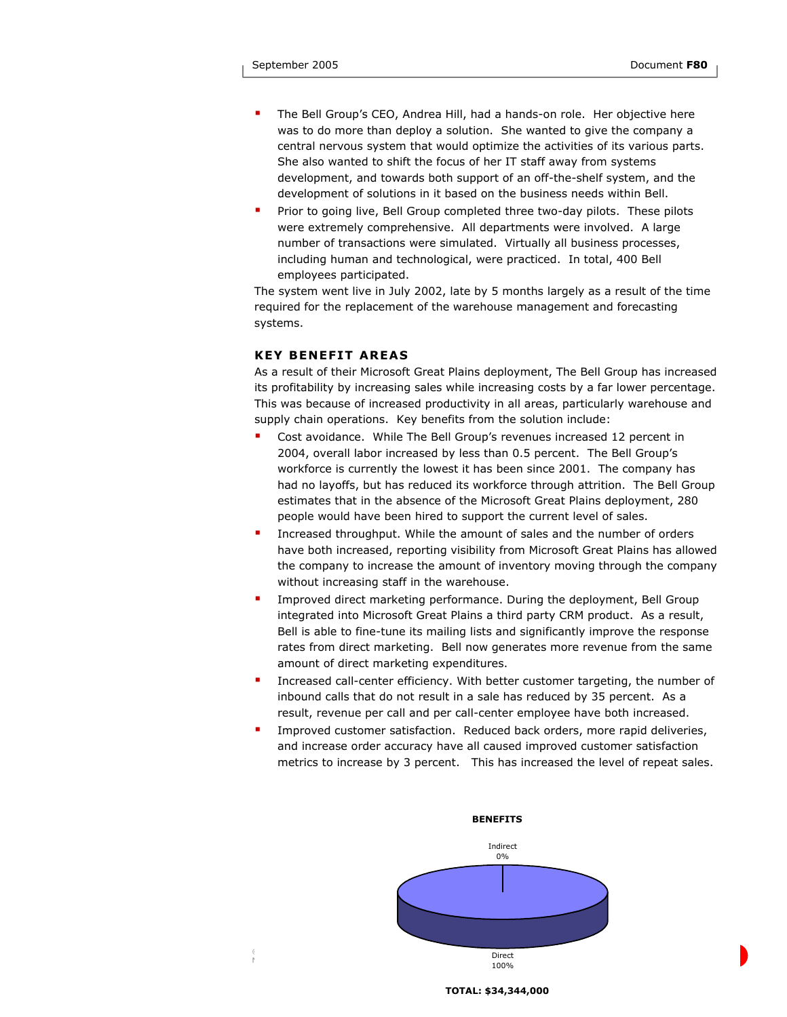- The Bell Group's CEO, Andrea Hill, had a hands-on role. Her objective here was to do more than deploy a solution. She wanted to give the company a central nervous system that would optimize the activities of its various parts. She also wanted to shift the focus of her IT staff away from systems development, and towards both support of an off-the-shelf system, and the development of solutions in it based on the business needs within Bell.
- Prior to going live, Bell Group completed three two-day pilots. These pilots were extremely comprehensive. All departments were involved. A large number of transactions were simulated. Virtually all business processes, including human and technological, were practiced. In total, 400 Bell employees participated.

The system went live in July 2002, late by 5 months largely as a result of the time required for the replacement of the warehouse management and forecasting systems.

## **KEY BENEFIT AREAS**

As a result of their Microsoft Great Plains deployment, The Bell Group has increased its profitability by increasing sales while increasing costs by a far lower percentage. This was because of increased productivity in all areas, particularly warehouse and supply chain operations. Key benefits from the solution include:

- Cost avoidance. While The Bell Group's revenues increased 12 percent in 2004, overall labor increased by less than 0.5 percent. The Bell Group's workforce is currently the lowest it has been since 2001. The company has had no layoffs, but has reduced its workforce through attrition. The Bell Group estimates that in the absence of the Microsoft Great Plains deployment, 280 people would have been hired to support the current level of sales.
- Increased throughput. While the amount of sales and the number of orders have both increased, reporting visibility from Microsoft Great Plains has allowed the company to increase the amount of inventory moving through the company without increasing staff in the warehouse.
- Improved direct marketing performance. During the deployment, Bell Group integrated into Microsoft Great Plains a third party CRM product. As a result, Bell is able to fine-tune its mailing lists and significantly improve the response rates from direct marketing. Bell now generates more revenue from the same amount of direct marketing expenditures.
- Increased call-center efficiency. With better customer targeting, the number of inbound calls that do not result in a sale has reduced by 35 percent. As a result, revenue per call and per call-center employee have both increased.
- Improved customer satisfaction. Reduced back orders, more rapid deliveries, and increase order accuracy have all caused improved customer satisfaction metrics to increase by 3 percent. This has increased the level of repeat sales.



#### **TOTAL: \$34,344,000**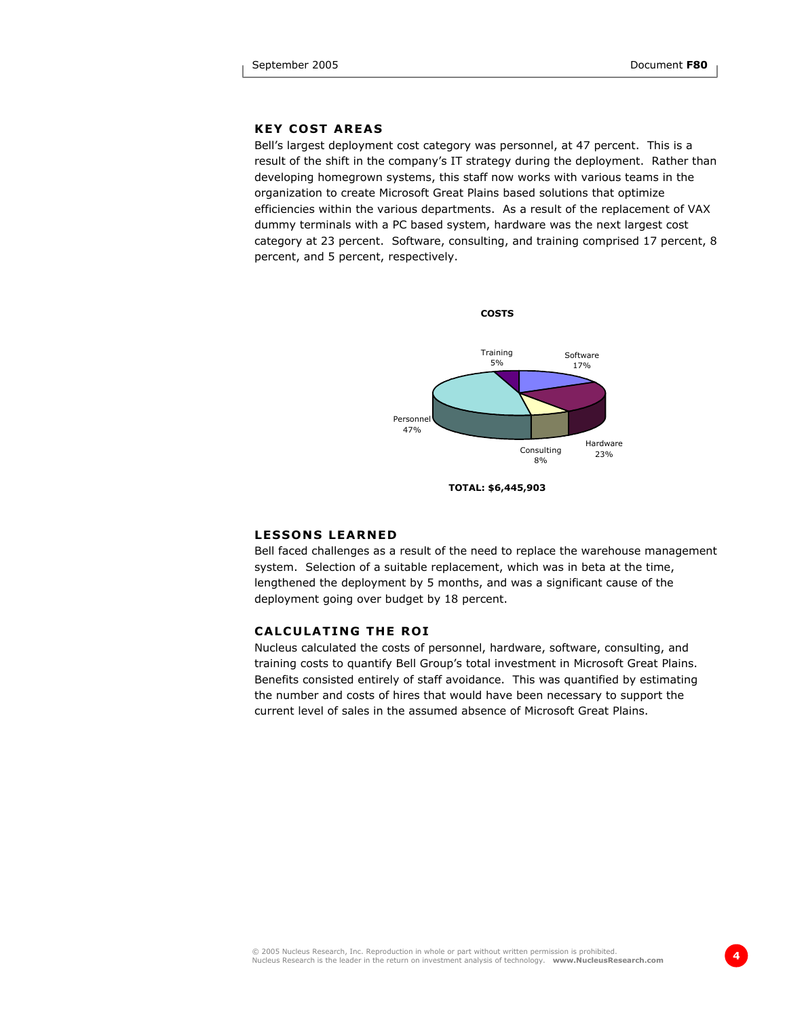## **KEY COST AREAS**

Bell's largest deployment cost category was personnel, at 47 percent. This is a result of the shift in the company's IT strategy during the deployment. Rather than developing homegrown systems, this staff now works with various teams in the organization to create Microsoft Great Plains based solutions that optimize efficiencies within the various departments. As a result of the replacement of VAX dummy terminals with a PC based system, hardware was the next largest cost category at 23 percent. Software, consulting, and training comprised 17 percent, 8 percent, and 5 percent, respectively.



**TOTAL: \$6,445,903** 

#### **LESSONS LEARNED**

Bell faced challenges as a result of the need to replace the warehouse management system. Selection of a suitable replacement, which was in beta at the time, lengthened the deployment by 5 months, and was a significant cause of the deployment going over budget by 18 percent.

#### **CALCULATING THE ROI**

Nucleus calculated the costs of personnel, hardware, software, consulting, and training costs to quantify Bell Group's total investment in Microsoft Great Plains. Benefits consisted entirely of staff avoidance. This was quantified by estimating the number and costs of hires that would have been necessary to support the current level of sales in the assumed absence of Microsoft Great Plains.